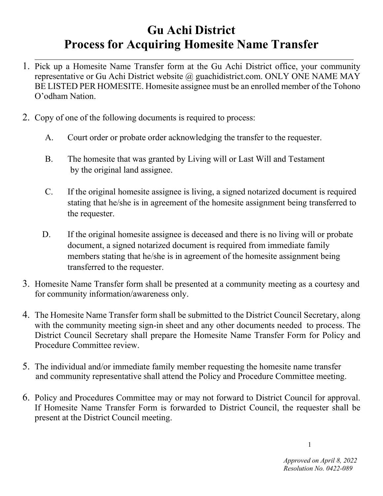## **Gu Achi District Process for Acquiring Homesite Name Transfer**

- 1. Pick up a Homesite Name Transfer form at the Gu Achi District office, your community representative or Gu Achi District website @ guachidistrict.com. ONLY ONE NAME MAY BE LISTED PER HOMESITE. Homesite assignee must be an enrolled member of the Tohono O'odham Nation.
- 2. Copy of one of the following documents is required to process:
	- A. Court order or probate order acknowledging the transfer to the requester.
	- B. The homesite that was granted by Living will or Last Will and Testament by the original land assignee.
	- C. If the original homesite assignee is living, a signed notarized document is required stating that he/she is in agreement of the homesite assignment being transferred to the requester.
	- D. If the original homesite assignee is deceased and there is no living will or probate document, a signed notarized document is required from immediate family members stating that he/she is in agreement of the homesite assignment being transferred to the requester.
- 3. Homesite Name Transfer form shall be presented at a community meeting as a courtesy and for community information/awareness only.
- 4. The Homesite Name Transfer form shall be submitted to the District Council Secretary, along with the community meeting sign-in sheet and any other documents needed to process. The District Council Secretary shall prepare the Homesite Name Transfer Form for Policy and Procedure Committee review.
- 5. The individual and/or immediate family member requesting the homesite name transfer and community representative shall attend the Policy and Procedure Committee meeting.
- 6. Policy and Procedures Committee may or may not forward to District Council for approval. If Homesite Name Transfer Form is forwarded to District Council, the requester shall be present at the District Council meeting.

1

 *Approved on April 8, 2022 Resolution No. 0422-089*